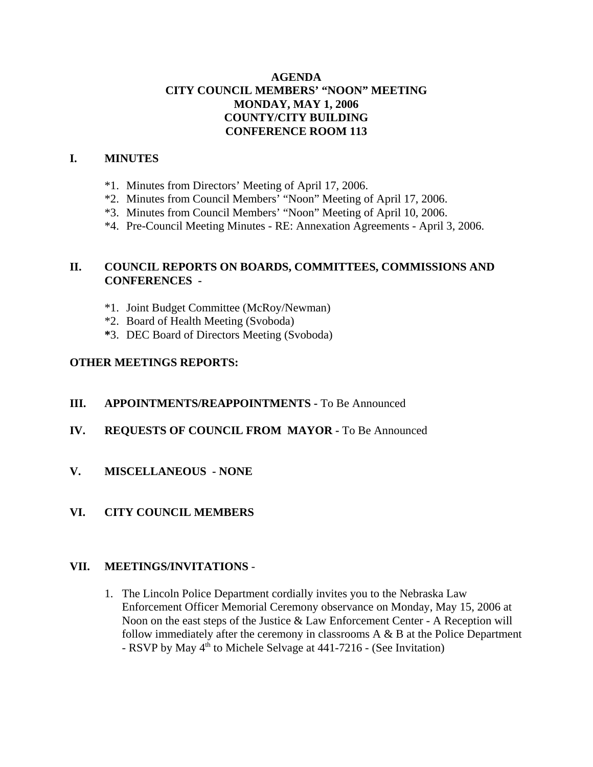## **AGENDA CITY COUNCIL MEMBERS' "NOON" MEETING MONDAY, MAY 1, 2006 COUNTY/CITY BUILDING CONFERENCE ROOM 113**

#### **I. MINUTES**

- \*1. Minutes from Directors' Meeting of April 17, 2006.
- \*2. Minutes from Council Members' "Noon" Meeting of April 17, 2006.
- \*3. Minutes from Council Members' "Noon" Meeting of April 10, 2006.
- \*4. Pre-Council Meeting Minutes RE: Annexation Agreements April 3, 2006.

# **II. COUNCIL REPORTS ON BOARDS, COMMITTEES, COMMISSIONS AND CONFERENCES -**

- \*1. Joint Budget Committee (McRoy/Newman)
- \*2. Board of Health Meeting (Svoboda)
- **\***3. DEC Board of Directors Meeting (Svoboda)

## **OTHER MEETINGS REPORTS:**

- **III.** APPOINTMENTS/REAPPOINTMENTS To Be Announced
- **IV. REQUESTS OF COUNCIL FROM MAYOR -** To Be Announced
- **V. MISCELLANEOUS NONE**
- **VI. CITY COUNCIL MEMBERS**

## **VII. MEETINGS/INVITATIONS** -

1. The Lincoln Police Department cordially invites you to the Nebraska Law Enforcement Officer Memorial Ceremony observance on Monday, May 15, 2006 at Noon on the east steps of the Justice & Law Enforcement Center - A Reception will follow immediately after the ceremony in classrooms A & B at the Police Department - RSVP by May  $4<sup>th</sup>$  to Michele Selvage at 441-7216 - (See Invitation)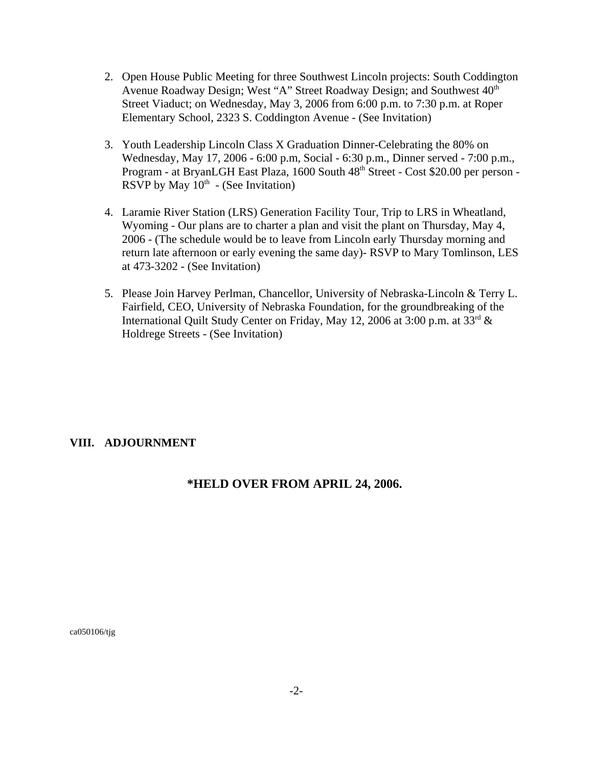- 2. Open House Public Meeting for three Southwest Lincoln projects: South Coddington Avenue Roadway Design; West "A" Street Roadway Design; and Southwest  $40<sup>th</sup>$ Street Viaduct; on Wednesday, May 3, 2006 from 6:00 p.m. to 7:30 p.m. at Roper Elementary School, 2323 S. Coddington Avenue - (See Invitation)
- 3. Youth Leadership Lincoln Class X Graduation Dinner-Celebrating the 80% on Wednesday, May 17, 2006 - 6:00 p.m, Social - 6:30 p.m., Dinner served - 7:00 p.m., Program - at BryanLGH East Plaza, 1600 South 48<sup>th</sup> Street - Cost \$20.00 per person -RSVP by May  $10<sup>th</sup>$  - (See Invitation)
- 4. Laramie River Station (LRS) Generation Facility Tour, Trip to LRS in Wheatland, Wyoming - Our plans are to charter a plan and visit the plant on Thursday, May 4, 2006 - (The schedule would be to leave from Lincoln early Thursday morning and return late afternoon or early evening the same day)- RSVP to Mary Tomlinson, LES at 473-3202 - (See Invitation)
- 5. Please Join Harvey Perlman, Chancellor, University of Nebraska-Lincoln & Terry L. Fairfield, CEO, University of Nebraska Foundation, for the groundbreaking of the International Quilt Study Center on Friday, May 12, 2006 at 3:00 p.m. at 33rd & Holdrege Streets - (See Invitation)

## **VIII. ADJOURNMENT**

## **\*HELD OVER FROM APRIL 24, 2006.**

ca050106/tjg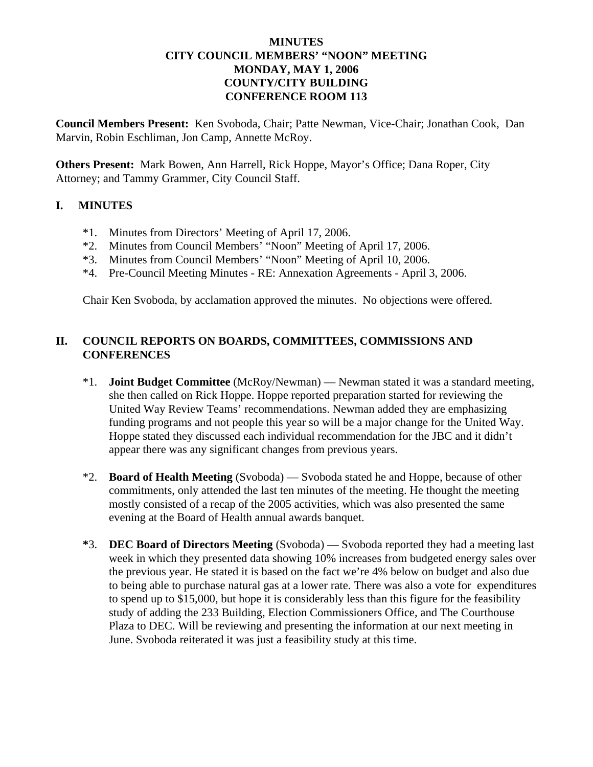## **MINUTES CITY COUNCIL MEMBERS' "NOON" MEETING MONDAY, MAY 1, 2006 COUNTY/CITY BUILDING CONFERENCE ROOM 113**

**Council Members Present:** Ken Svoboda, Chair; Patte Newman, Vice-Chair; Jonathan Cook, Dan Marvin, Robin Eschliman, Jon Camp, Annette McRoy.

**Others Present:** Mark Bowen, Ann Harrell, Rick Hoppe, Mayor's Office; Dana Roper, City Attorney; and Tammy Grammer, City Council Staff.

#### **I. MINUTES**

- \*1. Minutes from Directors' Meeting of April 17, 2006.
- \*2. Minutes from Council Members' "Noon" Meeting of April 17, 2006.
- \*3. Minutes from Council Members' "Noon" Meeting of April 10, 2006.
- \*4. Pre-Council Meeting Minutes RE: Annexation Agreements April 3, 2006.

Chair Ken Svoboda, by acclamation approved the minutes. No objections were offered.

## **II. COUNCIL REPORTS ON BOARDS, COMMITTEES, COMMISSIONS AND CONFERENCES**

- \*1. **Joint Budget Committee** (McRoy/Newman) Newman stated it was a standard meeting, she then called on Rick Hoppe. Hoppe reported preparation started for reviewing the United Way Review Teams' recommendations. Newman added they are emphasizing funding programs and not people this year so will be a major change for the United Way. Hoppe stated they discussed each individual recommendation for the JBC and it didn't appear there was any significant changes from previous years.
- \*2. **Board of Health Meeting** (Svoboda) Svoboda stated he and Hoppe, because of other commitments, only attended the last ten minutes of the meeting. He thought the meeting mostly consisted of a recap of the 2005 activities, which was also presented the same evening at the Board of Health annual awards banquet.
- **\***3. **DEC Board of Directors Meeting** (Svoboda) Svoboda reported they had a meeting last week in which they presented data showing 10% increases from budgeted energy sales over the previous year. He stated it is based on the fact we're 4% below on budget and also due to being able to purchase natural gas at a lower rate. There was also a vote for expenditures to spend up to \$15,000, but hope it is considerably less than this figure for the feasibility study of adding the 233 Building, Election Commissioners Office, and The Courthouse Plaza to DEC. Will be reviewing and presenting the information at our next meeting in June. Svoboda reiterated it was just a feasibility study at this time.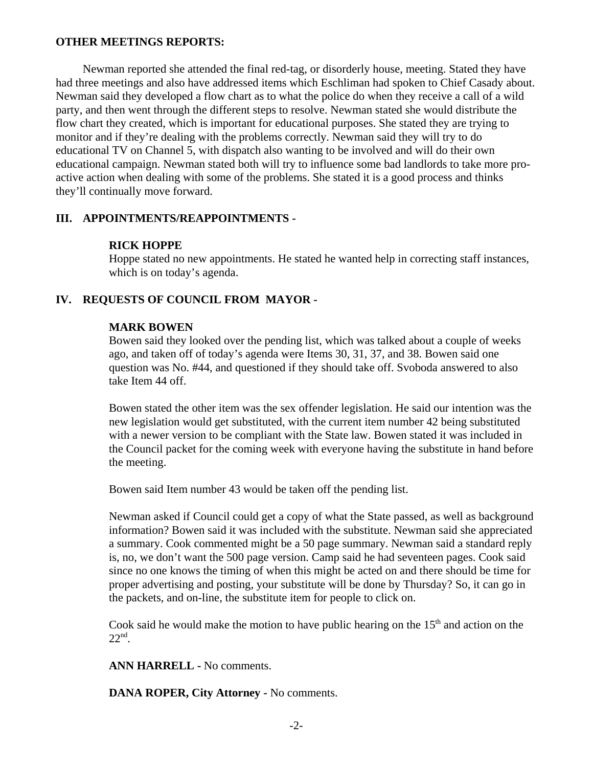#### **OTHER MEETINGS REPORTS:**

Newman reported she attended the final red-tag, or disorderly house, meeting. Stated they have had three meetings and also have addressed items which Eschliman had spoken to Chief Casady about. Newman said they developed a flow chart as to what the police do when they receive a call of a wild party, and then went through the different steps to resolve. Newman stated she would distribute the flow chart they created, which is important for educational purposes. She stated they are trying to monitor and if they're dealing with the problems correctly. Newman said they will try to do educational TV on Channel 5, with dispatch also wanting to be involved and will do their own educational campaign. Newman stated both will try to influence some bad landlords to take more proactive action when dealing with some of the problems. She stated it is a good process and thinks they'll continually move forward.

#### **III. APPOINTMENTS/REAPPOINTMENTS -**

#### **RICK HOPPE**

Hoppe stated no new appointments. He stated he wanted help in correcting staff instances, which is on today's agenda.

#### **IV. REQUESTS OF COUNCIL FROM MAYOR -**

#### **MARK BOWEN**

Bowen said they looked over the pending list, which was talked about a couple of weeks ago, and taken off of today's agenda were Items 30, 31, 37, and 38. Bowen said one question was No. #44, and questioned if they should take off. Svoboda answered to also take Item 44 off.

Bowen stated the other item was the sex offender legislation. He said our intention was the new legislation would get substituted, with the current item number 42 being substituted with a newer version to be compliant with the State law. Bowen stated it was included in the Council packet for the coming week with everyone having the substitute in hand before the meeting.

Bowen said Item number 43 would be taken off the pending list.

Newman asked if Council could get a copy of what the State passed, as well as background information? Bowen said it was included with the substitute. Newman said she appreciated a summary. Cook commented might be a 50 page summary. Newman said a standard reply is, no, we don't want the 500 page version. Camp said he had seventeen pages. Cook said since no one knows the timing of when this might be acted on and there should be time for proper advertising and posting, your substitute will be done by Thursday? So, it can go in the packets, and on-line, the substitute item for people to click on.

Cook said he would make the motion to have public hearing on the  $15<sup>th</sup>$  and action on the  $22<sup>nd</sup>$ .

**ANN HARRELL -** No comments.

**DANA ROPER, City Attorney -** No comments.